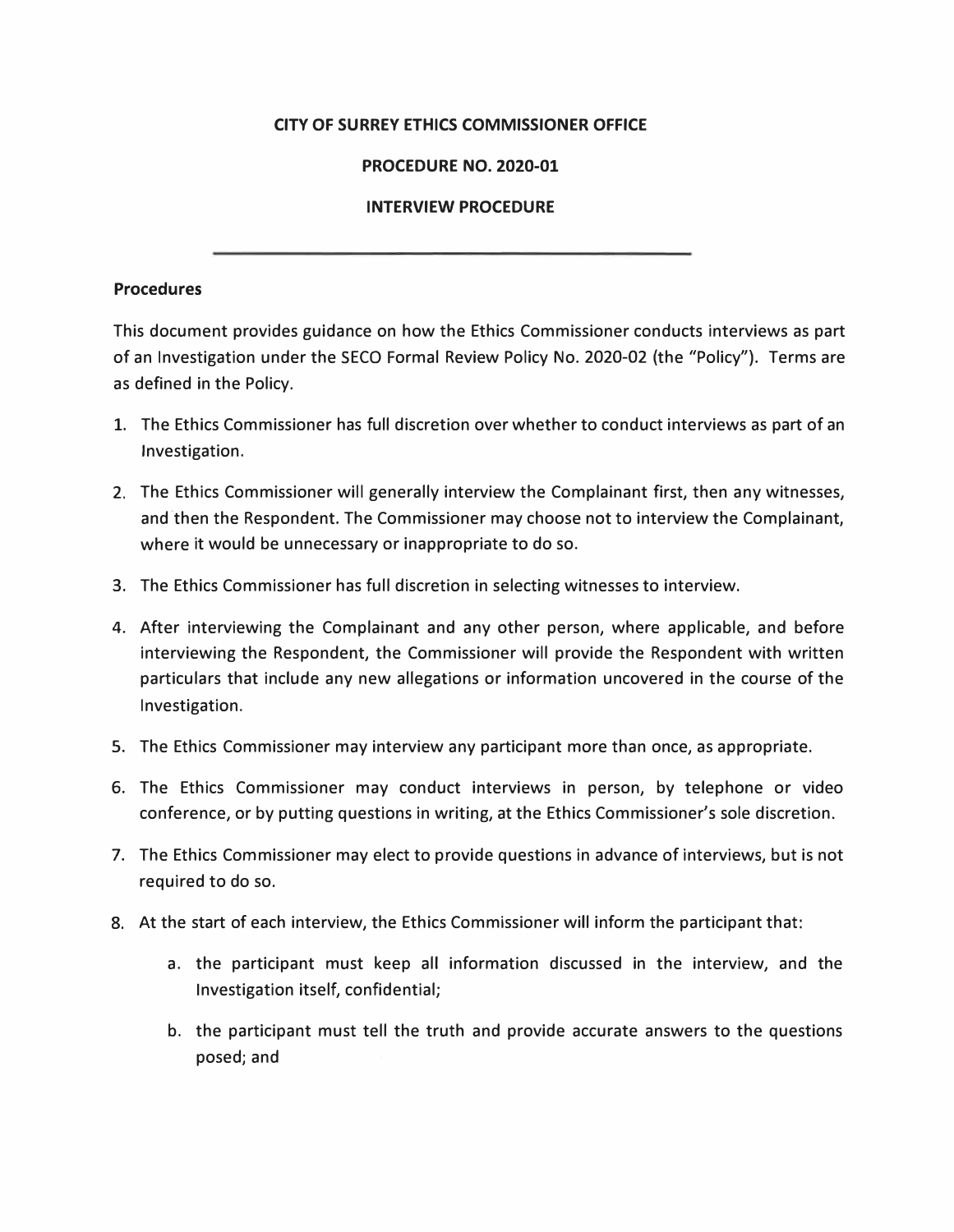## **CITY OF SURREY ETHICS COMMISSIONER OFFICE**

## **PROCEDURE NO. 2020-01**

## **INTERVIEW PROCEDURE**

## **Procedures**

This document provides guidance on how the Ethics Commissioner conducts interviews as part of an Investigation under the SECO Formal Review Policy No. 2020-02 (the "Policy"). Terms are as defined in the Policy.

- 1. The Ethics Commissioner has full discretion over whether to conduct interviews as part of an Investigation.
- 2. The Ethics Commissioner will generally interview the Complainant first, then any witnesses, and then the Respondent. The Commissioner may choose not to interview the Complainant, where it would be unnecessary or inappropriate to do so.
- 3. The Ethics Commissioner has full discretion in selecting witnesses to interview.
- 4. After interviewing the Complainant and any other person, where applicable, and before interviewing the Respondent, the Commissioner will provide the Respondent with written particulars that include any new allegations or information uncovered in the course of the Investigation.
- 5. The Ethics Commissioner may interview any participant more than once, as appropriate.
- 6. The Ethics Commissioner may conduct interviews in person, by telephone or video conference, or by putting questions in writing, at the Ethics Commissioner's sole discretion.
- 7. The Ethics Commissioner may elect to provide questions in advance of interviews, but is not required to do so.
- 8. At the start of each interview, the Ethics Commissioner will inform the participant that:
	- a. the participant must keep all information discussed in the interview, and the Investigation itself, confidential;
	- b. the participant must tell the truth and provide accurate answers to the questions posed; and